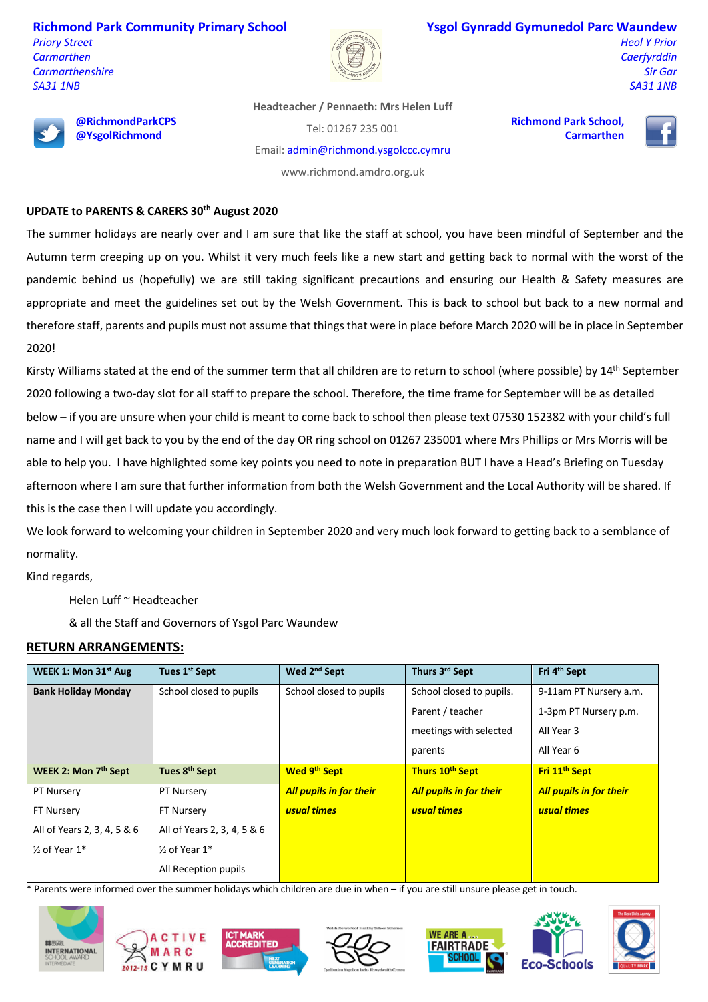**Richmond Park Community Primary School**

*Priory Street Carmarthen Carmarthenshire SA31 1NB*



## **Ysgol Gynradd Gymunedol Parc Waundew**

*Heol Y Prior Caerfyrddin Sir Gar SA31 1NB*



**@RichmondParkCPS @YsgolRichmond**

**Headteacher / Pennaeth: Mrs Helen Luff**

Tel: 01267 235 001

Email: admin@richmond.ysgolccc.cymru

**Richmond Park School, Carmarthen**



www.richmond.amdro.org.uk

## **UPDATE to PARENTS & CARERS 30th August 2020**

The summer holidays are nearly over and I am sure that like the staff at school, you have been mindful of September and the Autumn term creeping up on you. Whilst it very much feels like a new start and getting back to normal with the worst of the pandemic behind us (hopefully) we are still taking significant precautions and ensuring our Health & Safety measures are appropriate and meet the guidelines set out by the Welsh Government. This is back to school but back to a new normal and therefore staff, parents and pupils must not assume that things that were in place before March 2020 will be in place in September 2020!

Kirsty Williams stated at the end of the summer term that all children are to return to school (where possible) by 14<sup>th</sup> September 2020 following a two-day slot for all staff to prepare the school. Therefore, the time frame for September will be as detailed below – if you are unsure when your child is meant to come back to school then please text 07530 152382 with your child's full name and I will get back to you by the end of the day OR ring school on 01267 235001 where Mrs Phillips or Mrs Morris will be able to help you. I have highlighted some key points you need to note in preparation BUT I have a Head's Briefing on Tuesday afternoon where I am sure that further information from both the Welsh Government and the Local Authority will be shared. If this is the case then I will update you accordingly.

We look forward to welcoming your children in September 2020 and very much look forward to getting back to a semblance of normality.

Kind regards,

Helen Luff ~ Headteacher

& all the Staff and Governors of Ysgol Parc Waundew

## **RETURN ARRANGEMENTS:**

| WEEK 1: Mon 31 <sup>st</sup> Aug | Tues 1 <sup>st</sup> Sept   | Wed 2 <sup>nd</sup> Sept       | Thurs 3rd Sept                 | Fri 4 <sup>th</sup> Sept       |
|----------------------------------|-----------------------------|--------------------------------|--------------------------------|--------------------------------|
| <b>Bank Holiday Monday</b>       | School closed to pupils     | School closed to pupils        | School closed to pupils.       | 9-11am PT Nursery a.m.         |
|                                  |                             |                                | Parent / teacher               | 1-3pm PT Nursery p.m.          |
|                                  |                             |                                | meetings with selected         | All Year 3                     |
|                                  |                             |                                | parents                        | All Year 6                     |
| WEEK 2: Mon 7th Sept             | Tues 8th Sept               | <b>Wed 9th Sept</b>            | Thurs 10th Sept                | Fri 11 <sup>th</sup> Sept      |
| <b>PT Nursery</b>                | <b>PT Nursery</b>           | <b>All pupils in for their</b> | <b>All pupils in for their</b> | <b>All pupils in for their</b> |
| FT Nursery                       | <b>FT Nursery</b>           | usual times                    | usual times                    | usual times                    |
| All of Years 2, 3, 4, 5 & 6      | All of Years 2, 3, 4, 5 & 6 |                                |                                |                                |
| $\frac{1}{2}$ of Year 1*         | $\frac{1}{2}$ of Year 1*    |                                |                                |                                |
|                                  | All Reception pupils        |                                |                                |                                |

\* Parents were informed over the summer holidays which children are due in when – if you are still unsure please get in touch.